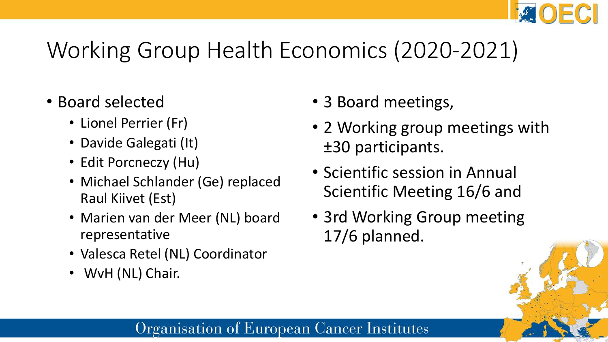### Working Group Health Economics (2020-2021)

- Board selected
	- Lionel Perrier (Fr)
	- Davide Galegati (It)
	- Edit Porcneczy (Hu)
	- Michael Schlander (Ge) replaced Raul Kiivet (Est)
	- Marien van der Meer (NL) board representative
	- Valesca Retel (NL) Coordinator
	- WvH (NL) Chair.
- 3 Board meetings,
- 2 Working group meetings with ±30 participants.
- Scientific session in Annual Scientific Meeting 16/6 and
- 3rd Working Group meeting 17/6 planned.

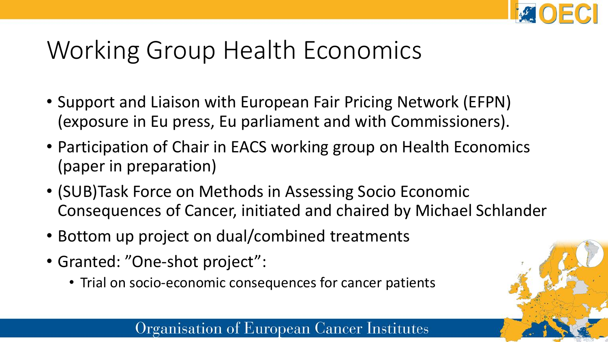

# Working Group Health Economics

- Support and Liaison with European Fair Pricing Network (EFPN) (exposure in Eu press, Eu parliament and with Commissioners).
- Participation of Chair in EACS working group on Health Economics (paper in preparation)
- (SUB)Task Force on Methods in Assessing Socio Economic Consequences of Cancer, initiated and chaired by Michael Schlander
- Bottom up project on dual/combined treatments
- Granted: "One-shot project":
	- Trial on socio-economic consequences for cancer patients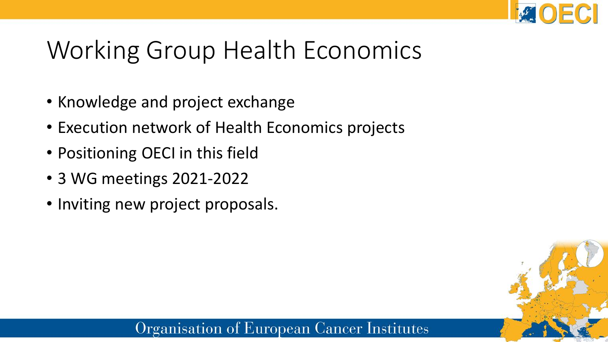

# Working Group Health Economics

- Knowledge and project exchange
- Execution network of Health Economics projects
- Positioning OECI in this field
- 3 WG meetings 2021-2022
- Inviting new project proposals.

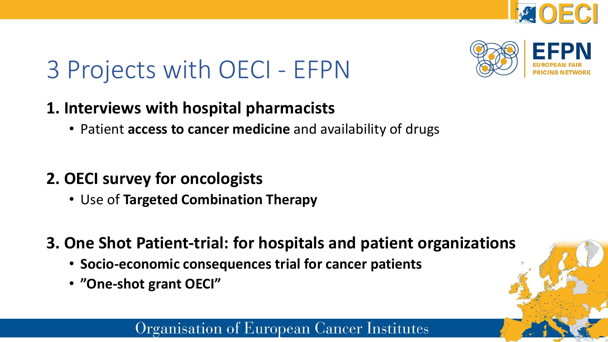



# 3 Projects with OECI - EFPN

### **1. Interviews with hospital pharmacists**

• Patient **access to cancer medicine** and availability of drugs

### **2. OECI survey for oncologists**

- Use of **Targeted Combination Therapy**
- **3. One Shot Patient-trial: for hospitals and patient organizations**
	- **Socio-economic consequences trial for cancer patients**
	- **"One-shot grant OECI"**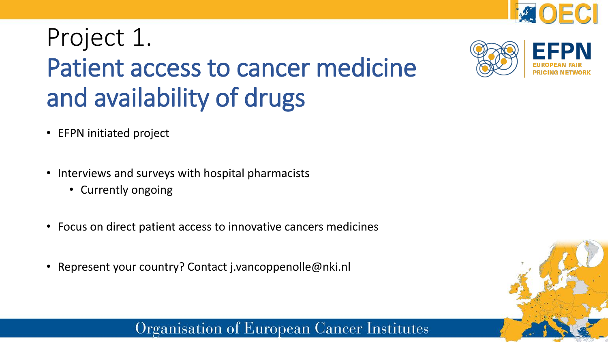

# Project 1. Patient access to cancer medicine and availability of drugs

- EFPN initiated project
- Interviews and surveys with hospital pharmacists
	- Currently ongoing
- Focus on direct patient access to innovative cancers medicines
- Represent your country? Contact j.vancoppenolle@nki.nl



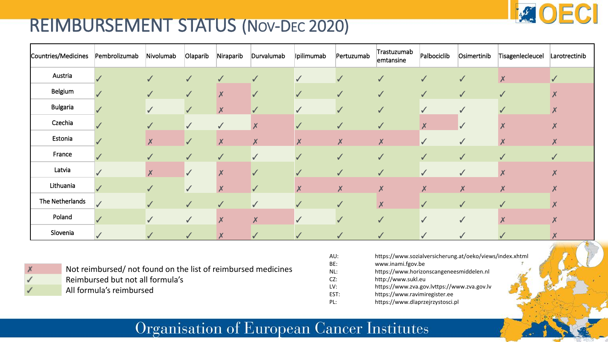### REIMBURSEMENT STATUS (NOV-DEC 2020)

| Countries/Medicines | Pembrolizumab | Nivolumab          | Olaparib     | Niraparib        | Durvalumab                | Ipilimumab       | Pertuzumab         | Trastuzumab<br>emtansine | Palbociclib      | Osimertinib        | Tisagenlecleucel          | Larotrectinib             |
|---------------------|---------------|--------------------|--------------|------------------|---------------------------|------------------|--------------------|--------------------------|------------------|--------------------|---------------------------|---------------------------|
| Austria             |               | $\checkmark$       | $\checkmark$ | $\checkmark$     | $\checkmark$              | $\checkmark$     | $\checkmark$       | $\checkmark$             | $\sqrt{}$        | $\checkmark$       | $\pmb{\mathsf{X}}$        |                           |
| Belgium             |               | $\checkmark$       | $\checkmark$ | $\boldsymbol{X}$ | $\checkmark$              | $\checkmark$     | $\sqrt{}$          | $\checkmark$             | $\checkmark$     | $\checkmark$       | $\sqrt{2}$                |                           |
| <b>Bulgaria</b>     |               | $\checkmark$       |              | $\boldsymbol{X}$ | ✔                         | $\checkmark$     |                    | $\checkmark$             | $\checkmark$     |                    |                           |                           |
| Czechia             |               | $\sqrt{}$          | $\sqrt{}$    | $\checkmark$     | $\boldsymbol{X}$          | $\checkmark$     | $\checkmark$       | $\checkmark$             | $\boldsymbol{X}$ | $\checkmark$       |                           |                           |
| Estonia             |               | $\pmb{\mathsf{X}}$ | $\checkmark$ | $\boldsymbol{X}$ | $\boldsymbol{\mathsf{X}}$ | $\boldsymbol{X}$ | $\boldsymbol{X}$   | $\pmb{\mathsf{X}}$       | $\checkmark$     | $\checkmark$       | $\boldsymbol{X}$          | $\boldsymbol{\mathsf{X}}$ |
| France              |               |                    | $\checkmark$ | $\checkmark$     | $\sqrt{}$                 | $\checkmark$     | $\checkmark$       | $\checkmark$             | $\checkmark$     | $\checkmark$       |                           |                           |
| Latvia              |               | $\boldsymbol{X}$   | $\sqrt{}$    | X                | $\checkmark$              | $\checkmark$     | $\checkmark$       | $\checkmark$             | $\checkmark$     | $\checkmark$       | $\boldsymbol{\mathsf{X}}$ | Х                         |
| Lithuania           |               | $\checkmark$       | $\checkmark$ | $\boldsymbol{X}$ | $\checkmark$              | $\boldsymbol{x}$ | $\pmb{\mathsf{X}}$ | $\boldsymbol{X}$         | $\boldsymbol{x}$ | $\pmb{\mathsf{X}}$ | $\pmb{\mathsf{X}}$        | X                         |
| The Netherlands     |               |                    | $\sqrt{}$    | $\checkmark$     | $\checkmark$              | $\checkmark$     | $\checkmark$       | $\boldsymbol{X}$         | $\checkmark$     | $\checkmark$       | V                         | X                         |
| Poland              |               | $\sqrt{}$          | $\checkmark$ | $\boldsymbol{X}$ | $\boldsymbol{\mathsf{X}}$ | $\checkmark$     |                    | $\checkmark$             | $\checkmark$     | $\checkmark$       | $\boldsymbol{\mathsf{X}}$ | Х                         |
| Slovenia            |               |                    | $\checkmark$ | $\boldsymbol{X}$ | V                         | V                | $\checkmark$       | ✔                        | $\checkmark$     | √                  |                           |                           |

Not reimbursed/ not found on the list of reimbursed medicines Reimbursed but not all formula's All formula's reimbursed

| AU:    | https://www.sozialversicherung.at/oeko/views/index.xhtml |  |
|--------|----------------------------------------------------------|--|
| BE:    | www.inami.fgov.be                                        |  |
| NL:    | https://www.horizonscangeneesmiddelen.nl                 |  |
| $CZ$ : | http://www.sukl.eu                                       |  |
| LV:    | https://www.zva.gov.lvttps://www.zva.gov.lv              |  |
| EST:   | https://www.ravimiregister.ee                            |  |
| PI:    | https://www.dlaprzejrzystosci.pl                         |  |

ECI

**BALL**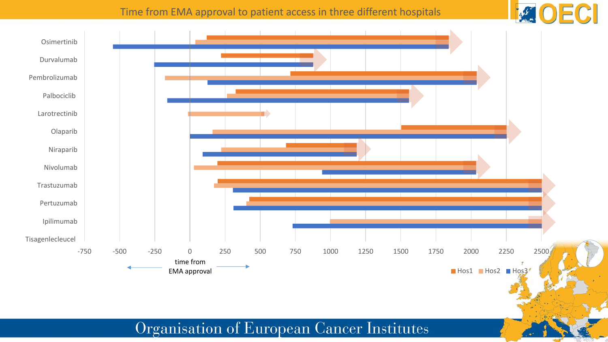#### Time from EMA approval to patient access in three different hospitals



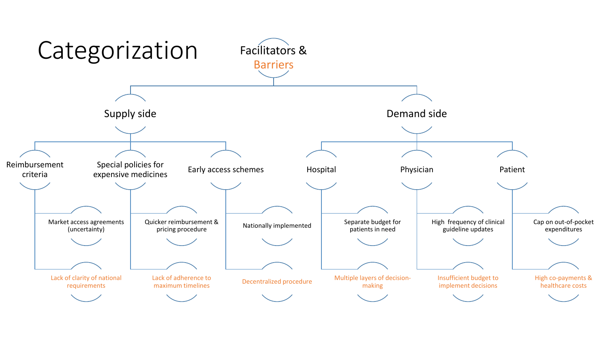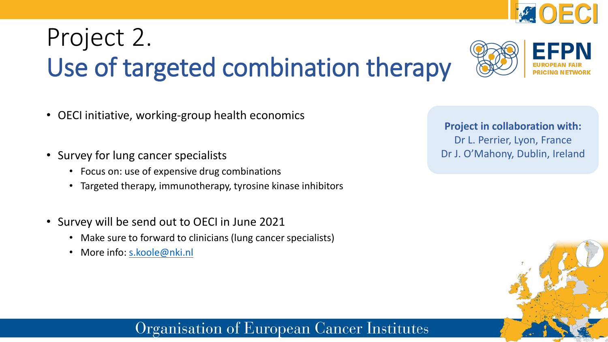# Project 2. Use of targeted combination therapy

- OECI initiative, working-group health economics
- Survey for lung cancer specialists
	- Focus on: use of expensive drug combinations
	- Targeted therapy, immunotherapy, tyrosine kinase inhibitors
- Survey will be send out to OECI in June 2021
	- Make sure to forward to clinicians (lung cancer specialists)
	- More info: [s.koole@nki.nl](mailto:s.koole@nki.nl)

Organisation of European Cancer Institutes

**Project in collaboration with:** Dr L. Perrier, Lyon, France Dr J. O'Mahony, Dublin, Ireland



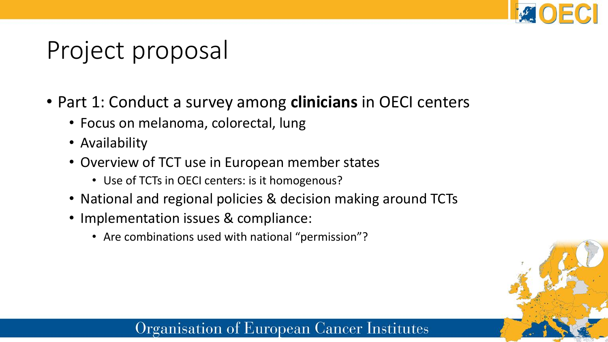

# Project proposal

- Part 1: Conduct a survey among **clinicians** in OECI centers
	- Focus on melanoma, colorectal, lung
	- Availability
	- Overview of TCT use in European member states
		- Use of TCTs in OECI centers: is it homogenous?
	- National and regional policies & decision making around TCTs
	- Implementation issues & compliance:
		- Are combinations used with national "permission"?

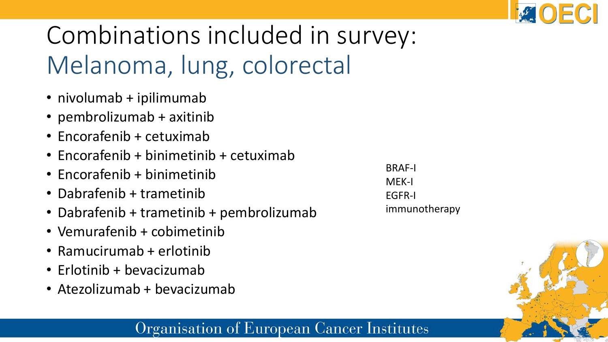

# Combinations included in survey: Melanoma, lung, colorectal

- nivolumab + ipilimumab
- pembrolizumab + axitinib
- Encorafenib + cetuximab
- Encorafenib + binimetinib + cetuximab
- Encorafenib + binimetinib
- Dabrafenib + trametinib
- Dabrafenib + trametinib + pembrolizumab
- Vemurafenib + cobimetinib
- Ramucirumab + erlotinib
- Erlotinib + bevacizumab
- Atezolizumab + bevacizumab

BRAF-I MEK-I EGFR-I immunotherapy

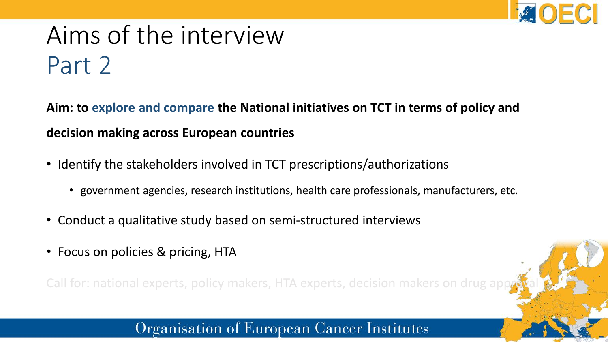

### Aims of the interview Part 2

**Aim: to explore and compare the National initiatives on TCT in terms of policy and decision making across European countries**

- Identify the stakeholders involved in TCT prescriptions/authorizations
	- government agencies, research institutions, health care professionals, manufacturers, etc.
- Conduct a qualitative study based on semi-structured interviews
- Focus on policies & pricing, HTA

Call for: national experts, policy makers, HTA experts, decision makers on drug ap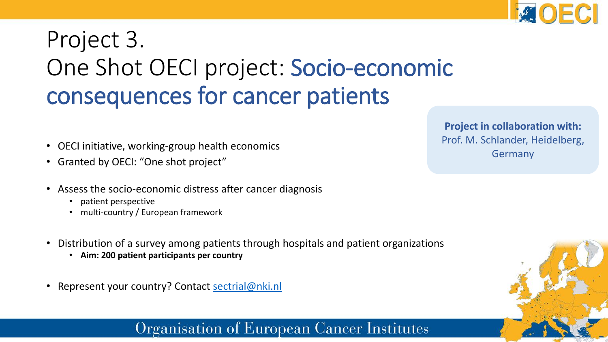

### Project 3. One Shot OECI project: Socio-economic consequences for cancer patients

- OECI initiative, working-group health economics
- Granted by OECI: "One shot project"
- Assess the socio-economic distress after cancer diagnosis
	- patient perspective
	- multi-country / European framework
- Distribution of a survey among patients through hospitals and patient organizations
	- **Aim: 200 patient participants per country**
- Represent your country? Contact [sectrial@nki.nl](mailto:sectrial@nki.nl)

**Project in collaboration with:** Prof. M. Schlander, Heidelberg, Germany

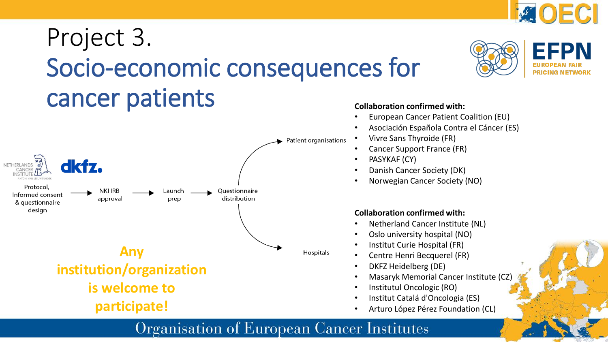### Project 3. Socio-economic consequences for cancer patients



#### **Collaboration confirmed with:**

- European Cancer Patient Coalition (EU)
- Asociación Española Contra el Cáncer (ES)

OECI

**EFPN** 

**PRICING NETWORK** 

**BASE** 

- Vivre Sans Thyroide (FR)
- Cancer Support France (FR)
- PASYKAF (CY)
- Danish Cancer Society (DK)
- Norwegian Cancer Society (NO)

#### **Collaboration confirmed with:**

- Netherland Cancer Institute (NL)
- Oslo university hospital (NO)
- Institut Curie Hospital (FR)
- Centre Henri Becquerel (FR)
- DKFZ Heidelberg (DE)
- Masaryk Memorial Cancer Institute (CZ)
- Institutul Oncologic (RO)
- Institut Catalá d'Oncologia (ES)
- Arturo López Pérez Foundation (CL)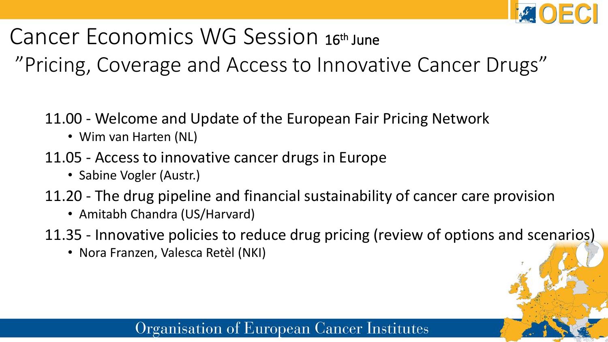

Cancer Economics WG Session 16th June

"Pricing, Coverage and Access to Innovative Cancer Drugs"

- 11.00 Welcome and Update of the European Fair Pricing Network
	- Wim van Harten (NL)
- 11.05 Access to innovative cancer drugs in Europe
	- Sabine Vogler (Austr.)
- 11.20 The drug pipeline and financial sustainability of cancer care provision
	- Amitabh Chandra (US/Harvard)
- 11.35 Innovative policies to reduce drug pricing (review of options and scenarios)
	- Nora Franzen, Valesca Retèl (NKI)